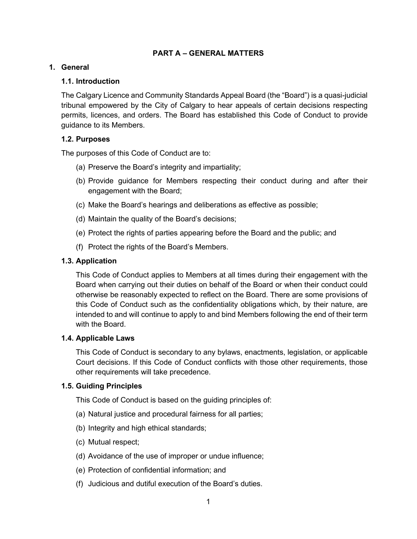## **PART A – GENERAL MATTERS**

### **1. General**

### **1.1. Introduction**

The Calgary Licence and Community Standards Appeal Board (the "Board") is a quasi-judicial tribunal empowered by the City of Calgary to hear appeals of certain decisions respecting permits, licences, and orders. The Board has established this Code of Conduct to provide guidance to its Members.

### **1.2. Purposes**

The purposes of this Code of Conduct are to:

- (a) Preserve the Board's integrity and impartiality;
- (b) Provide guidance for Members respecting their conduct during and after their engagement with the Board;
- (c) Make the Board's hearings and deliberations as effective as possible;
- (d) Maintain the quality of the Board's decisions;
- (e) Protect the rights of parties appearing before the Board and the public; and
- (f) Protect the rights of the Board's Members.

### **1.3. Application**

This Code of Conduct applies to Members at all times during their engagement with the Board when carrying out their duties on behalf of the Board or when their conduct could otherwise be reasonably expected to reflect on the Board. There are some provisions of this Code of Conduct such as the confidentiality obligations which, by their nature, are intended to and will continue to apply to and bind Members following the end of their term with the Board.

#### **1.4. Applicable Laws**

This Code of Conduct is secondary to any bylaws, enactments, legislation, or applicable Court decisions. If this Code of Conduct conflicts with those other requirements, those other requirements will take precedence.

## **1.5. Guiding Principles**

This Code of Conduct is based on the guiding principles of:

- (a) Natural justice and procedural fairness for all parties;
- (b) Integrity and high ethical standards;
- (c) Mutual respect;
- (d) Avoidance of the use of improper or undue influence;
- (e) Protection of confidential information; and
- (f) Judicious and dutiful execution of the Board's duties.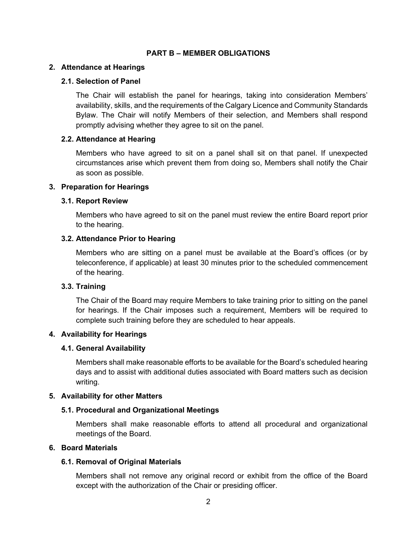#### **PART B – MEMBER OBLIGATIONS**

### **2. Attendance at Hearings**

### **2.1. Selection of Panel**

The Chair will establish the panel for hearings, taking into consideration Members' availability, skills, and the requirements of the Calgary Licence and Community Standards Bylaw. The Chair will notify Members of their selection, and Members shall respond promptly advising whether they agree to sit on the panel.

### **2.2. Attendance at Hearing**

Members who have agreed to sit on a panel shall sit on that panel. If unexpected circumstances arise which prevent them from doing so, Members shall notify the Chair as soon as possible.

## **3. Preparation for Hearings**

### **3.1. Report Review**

Members who have agreed to sit on the panel must review the entire Board report prior to the hearing.

### **3.2. Attendance Prior to Hearing**

Members who are sitting on a panel must be available at the Board's offices (or by teleconference, if applicable) at least 30 minutes prior to the scheduled commencement of the hearing.

## **3.3. Training**

The Chair of the Board may require Members to take training prior to sitting on the panel for hearings. If the Chair imposes such a requirement, Members will be required to complete such training before they are scheduled to hear appeals.

#### **4. Availability for Hearings**

## **4.1. General Availability**

Members shall make reasonable efforts to be available for the Board's scheduled hearing days and to assist with additional duties associated with Board matters such as decision writing.

## **5. Availability for other Matters**

## **5.1. Procedural and Organizational Meetings**

Members shall make reasonable efforts to attend all procedural and organizational meetings of the Board.

## **6. Board Materials**

## **6.1. Removal of Original Materials**

Members shall not remove any original record or exhibit from the office of the Board except with the authorization of the Chair or presiding officer.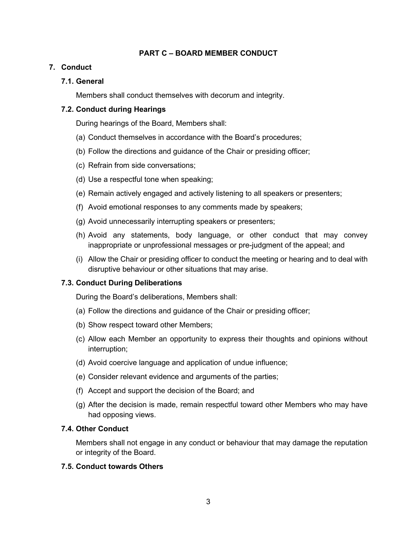# **PART C – BOARD MEMBER CONDUCT**

## **7. Conduct**

# **7.1. General**

Members shall conduct themselves with decorum and integrity.

# **7.2. Conduct during Hearings**

During hearings of the Board, Members shall:

- (a) Conduct themselves in accordance with the Board's procedures;
- (b) Follow the directions and guidance of the Chair or presiding officer;
- (c) Refrain from side conversations;
- (d) Use a respectful tone when speaking;
- (e) Remain actively engaged and actively listening to all speakers or presenters;
- (f) Avoid emotional responses to any comments made by speakers;
- (g) Avoid unnecessarily interrupting speakers or presenters;
- (h) Avoid any statements, body language, or other conduct that may convey inappropriate or unprofessional messages or pre-judgment of the appeal; and
- (i) Allow the Chair or presiding officer to conduct the meeting or hearing and to deal with disruptive behaviour or other situations that may arise.

# **7.3. Conduct During Deliberations**

During the Board's deliberations, Members shall:

- (a) Follow the directions and guidance of the Chair or presiding officer;
- (b) Show respect toward other Members;
- (c) Allow each Member an opportunity to express their thoughts and opinions without interruption;
- (d) Avoid coercive language and application of undue influence;
- (e) Consider relevant evidence and arguments of the parties;
- (f) Accept and support the decision of the Board; and
- (g) After the decision is made, remain respectful toward other Members who may have had opposing views.

# **7.4. Other Conduct**

Members shall not engage in any conduct or behaviour that may damage the reputation or integrity of the Board.

## **7.5. Conduct towards Others**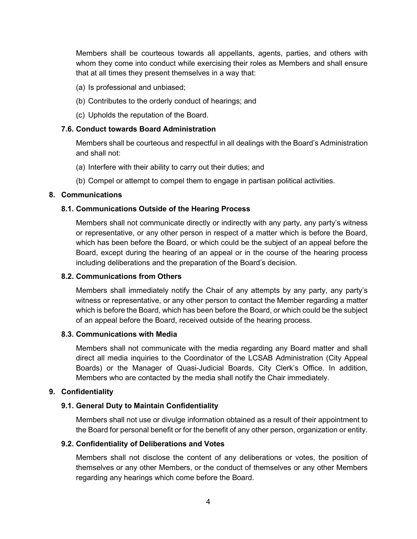Members shall be courteous towards all appellants, agents, parties, and others with whom they come into conduct while exercising their roles as Members and shall ensure that at all times they present themselves in a way that:

- (a) Is professional and unbiased;
- (b) Contributes to the orderly conduct of hearings; and
- (c) Upholds the reputation of the Board.

### **7.6. Conduct towards Board Administration**

Members shall be courteous and respectful in all dealings with the Board's Administration and shall not:

- (a) Interfere with their ability to carry out their duties; and
- (b) Compel or attempt to compel them to engage in partisan political activities.

### **8. Communications**

### **8.1. Communications Outside of the Hearing Process**

Members shall not communicate directly or indirectly with any party, any party's witness or representative, or any other person in respect of a matter which is before the Board, which has been before the Board, or which could be the subject of an appeal before the Board, except during the hearing of an appeal or in the course of the hearing process including deliberations and the preparation of the Board's decision.

### **8.2. Communications from Others**

Members shall immediately notify the Chair of any attempts by any party, any party's witness or representative, or any other person to contact the Member regarding a matter which is before the Board, which has been before the Board, or which could be the subject of an appeal before the Board, received outside of the hearing process.

#### **8.3. Communications with Media**

Members shall not communicate with the media regarding any Board matter and shall direct all media inquiries to the Coordinator of the LCSAB Administration (City Appeal Boards) or the Manager of Quasi-Judicial Boards, City Clerk's Office. In addition, Members who are contacted by the media shall notify the Chair immediately.

## **9. Confidentiality**

## **9.1. General Duty to Maintain Confidentiality**

Members shall not use or divulge information obtained as a result of their appointment to the Board for personal benefit or for the benefit of any other person, organization or entity.

## **9.2. Confidentiality of Deliberations and Votes**

Members shall not disclose the content of any deliberations or votes, the position of themselves or any other Members, or the conduct of themselves or any other Members regarding any hearings which come before the Board.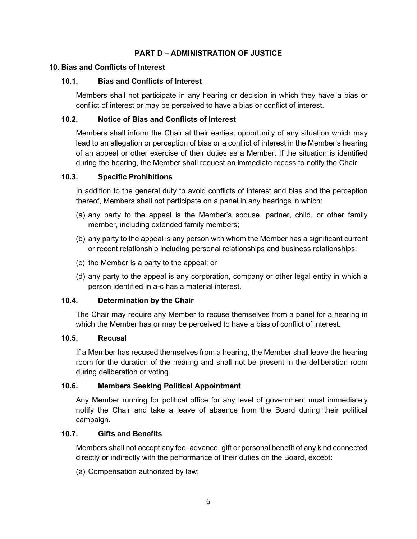# **PART D – ADMINISTRATION OF JUSTICE**

### **10. Bias and Conflicts of Interest**

## **10.1. Bias and Conflicts of Interest**

Members shall not participate in any hearing or decision in which they have a bias or conflict of interest or may be perceived to have a bias or conflict of interest.

## **10.2. Notice of Bias and Conflicts of Interest**

Members shall inform the Chair at their earliest opportunity of any situation which may lead to an allegation or perception of bias or a conflict of interest in the Member's hearing of an appeal or other exercise of their duties as a Member. If the situation is identified during the hearing, the Member shall request an immediate recess to notify the Chair.

## **10.3. Specific Prohibitions**

In addition to the general duty to avoid conflicts of interest and bias and the perception thereof, Members shall not participate on a panel in any hearings in which:

- (a) any party to the appeal is the Member's spouse, partner, child, or other family member, including extended family members;
- (b) any party to the appeal is any person with whom the Member has a significant current or recent relationship including personal relationships and business relationships;
- (c) the Member is a party to the appeal; or
- (d) any party to the appeal is any corporation, company or other legal entity in which a person identified in a-c has a material interest.

## **10.4. Determination by the Chair**

The Chair may require any Member to recuse themselves from a panel for a hearing in which the Member has or may be perceived to have a bias of conflict of interest.

#### **10.5. Recusal**

If a Member has recused themselves from a hearing, the Member shall leave the hearing room for the duration of the hearing and shall not be present in the deliberation room during deliberation or voting.

## **10.6. Members Seeking Political Appointment**

Any Member running for political office for any level of government must immediately notify the Chair and take a leave of absence from the Board during their political campaign.

## **10.7. Gifts and Benefits**

Members shall not accept any fee, advance, gift or personal benefit of any kind connected directly or indirectly with the performance of their duties on the Board, except:

(a) Compensation authorized by law;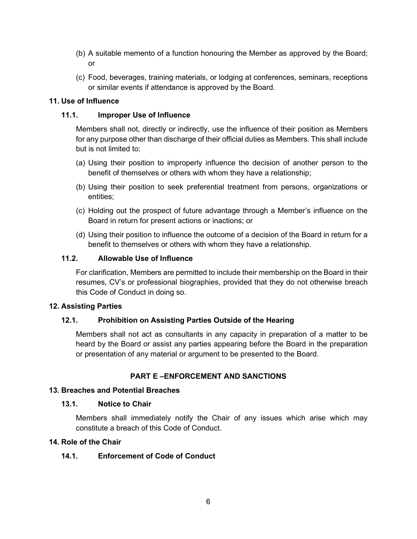- (b) A suitable memento of a function honouring the Member as approved by the Board; or
- (c) Food, beverages, training materials, or lodging at conferences, seminars, receptions or similar events if attendance is approved by the Board.

# **11. Use of Influence**

# **11.1. Improper Use of Influence**

Members shall not, directly or indirectly, use the influence of their position as Members for any purpose other than discharge of their official duties as Members. This shall include but is not limited to:

- (a) Using their position to improperly influence the decision of another person to the benefit of themselves or others with whom they have a relationship;
- (b) Using their position to seek preferential treatment from persons, organizations or entities;
- (c) Holding out the prospect of future advantage through a Member's influence on the Board in return for present actions or inactions; or
- (d) Using their position to influence the outcome of a decision of the Board in return for a benefit to themselves or others with whom they have a relationship.

# **11.2. Allowable Use of Influence**

For clarification, Members are permitted to include their membership on the Board in their resumes, CV's or professional biographies, provided that they do not otherwise breach this Code of Conduct in doing so.

## **12. Assisting Parties**

# **12.1. Prohibition on Assisting Parties Outside of the Hearing**

Members shall not act as consultants in any capacity in preparation of a matter to be heard by the Board or assist any parties appearing before the Board in the preparation or presentation of any material or argument to be presented to the Board.

# **PART E –ENFORCEMENT AND SANCTIONS**

# **13. Breaches and Potential Breaches**

## **13.1. Notice to Chair**

Members shall immediately notify the Chair of any issues which arise which may constitute a breach of this Code of Conduct.

# **14. Role of the Chair**

## **14.1. Enforcement of Code of Conduct**